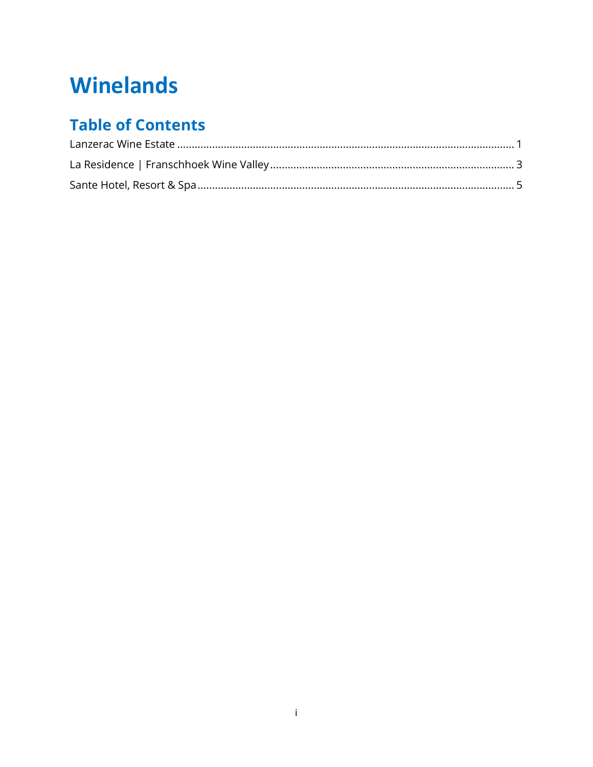# **Winelands**

# **Table of Contents**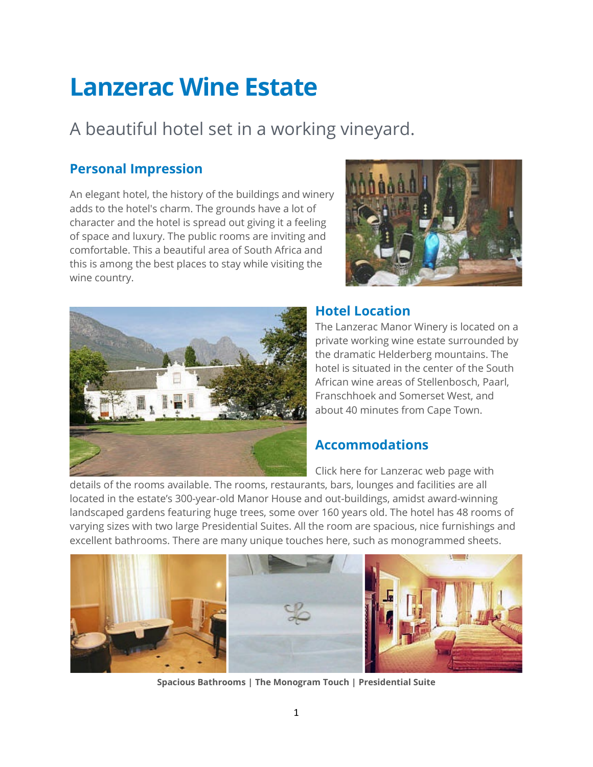# <span id="page-1-0"></span>**Lanzerac Wine Estate**

# A beautiful hotel set in a working vineyard.

# **Personal Impression**

An elegant hotel, the history of the buildings and winery adds to the hotel's charm. The grounds have a lot of character and the hotel is spread out giving it a feeling of space and luxury. The public rooms are inviting and comfortable. This a beautiful area of South Africa and this is among the best places to stay while visiting the wine country.





#### **Hotel Location**

The Lanzerac Manor Winery is located on a private working wine estate surrounded by the dramatic Helderberg mountains. The hotel is situated in the center of the South African wine areas of Stellenbosch, Paarl, Franschhoek and Somerset West, and about 40 minutes from Cape Town.

# **Accommodations**

Click here for Lanzerac web page with

details of the rooms available. The rooms, restaurants, bars, lounges and facilities are all located in the estate's 300-year-old Manor House and out-buildings, amidst award-winning landscaped gardens featuring huge trees, some over 160 years old. The hotel has 48 rooms of varying sizes with two large Presidential Suites. All the room are spacious, nice furnishings and excellent bathrooms. There are many unique touches here, such as monogrammed sheets.



**Spacious Bathrooms | The Monogram Touch | Presidential Suite**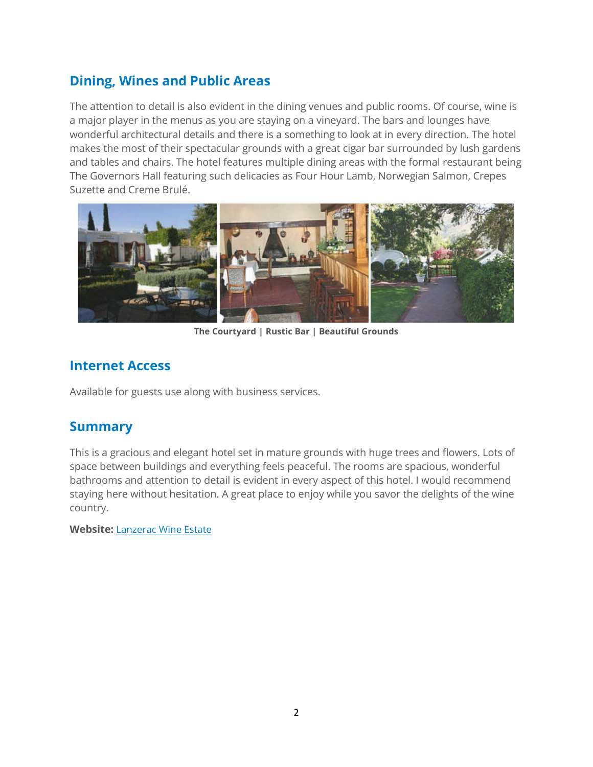# **Dining, Wines and Public Areas**

The attention to detail is also evident in the dining venues and public rooms. Of course, wine is a major player in the menus as you are staying on a vineyard. The bars and lounges have wonderful architectural details and there is a something to look at in every direction. The hotel makes the most of their spectacular grounds with a great cigar bar surrounded by lush gardens and tables and chairs. The hotel features multiple dining areas with the formal restaurant being The Governors Hall featuring such delicacies as Four Hour Lamb, Norwegian Salmon, Crepes Suzette and Creme Brulé.



**The Courtyard | Rustic Bar | Beautiful Grounds**

#### **Internet Access**

Available for guests use along with business services.

#### **Summary**

This is a gracious and elegant hotel set in mature grounds with huge trees and flowers. Lots of space between buildings and everything feels peaceful. The rooms are spacious, wonderful bathrooms and attention to detail is evident in every aspect of this hotel. I would recommend staying here without hesitation. A great place to enjoy while you savor the delights of the wine country.

**Website:** [Lanzerac Wine Estate](http://www.lanzerac.co.za/)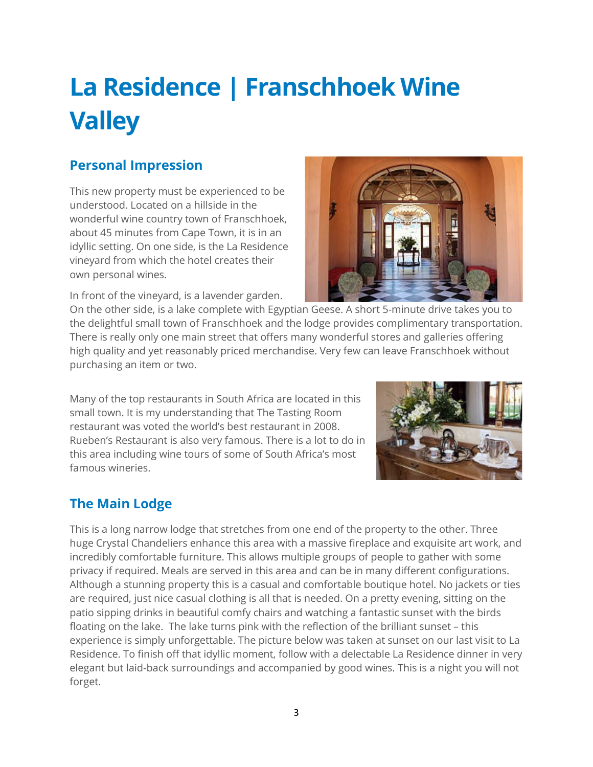# <span id="page-3-0"></span>**La Residence | Franschhoek Wine Valley**

# **Personal Impression**

This new property must be experienced to be understood. Located on a hillside in the wonderful wine country town of Franschhoek, about 45 minutes from Cape Town, it is in an idyllic setting. On one side, is the La Residence vineyard from which the hotel creates their own personal wines.

In front of the vineyard, is a lavender garden.



On the other side, is a lake complete with Egyptian Geese. A short 5-minute drive takes you to the delightful small town of Franschhoek and the lodge provides complimentary transportation. There is really only one main street that offers many wonderful stores and galleries offering high quality and yet reasonably priced merchandise. Very few can leave Franschhoek without purchasing an item or two.

Many of the top restaurants in South Africa are located in this small town. It is my understanding that The Tasting Room restaurant was voted the world's best restaurant in 2008. Rueben's Restaurant is also very famous. There is a lot to do in this area including wine tours of some of South Africa's most famous wineries.



# **The Main Lodge**

This is a long narrow lodge that stretches from one end of the property to the other. Three huge Crystal Chandeliers enhance this area with a massive fireplace and exquisite art work, and incredibly comfortable furniture. This allows multiple groups of people to gather with some privacy if required. Meals are served in this area and can be in many different configurations. Although a stunning property this is a casual and comfortable boutique hotel. No jackets or ties are required, just nice casual clothing is all that is needed. On a pretty evening, sitting on the patio sipping drinks in beautiful comfy chairs and watching a fantastic sunset with the birds floating on the lake. The lake turns pink with the reflection of the brilliant sunset – this experience is simply unforgettable. The picture below was taken at sunset on our last visit to La Residence. To finish off that idyllic moment, follow with a delectable La Residence dinner in very elegant but laid-back surroundings and accompanied by good wines. This is a night you will not forget.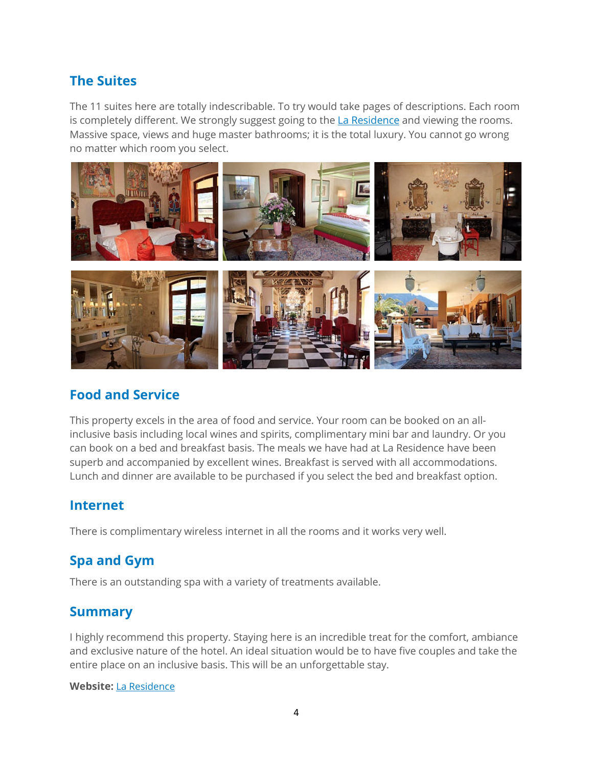# **The Suites**

The 11 suites here are totally indescribable. To try would take pages of descriptions. Each room is completely different. We strongly suggest going to the **[La Residence](http://www.laresidence.co.za/)** and viewing the rooms. Massive space, views and huge master bathrooms; it is the total luxury. You cannot go wrong no matter which room you select.



#### **Food and Service**

This property excels in the area of food and service. Your room can be booked on an allinclusive basis including local wines and spirits, complimentary mini bar and laundry. Or you can book on a bed and breakfast basis. The meals we have had at La Residence have been superb and accompanied by excellent wines. Breakfast is served with all accommodations. Lunch and dinner are available to be purchased if you select the bed and breakfast option.

#### **Internet**

There is complimentary wireless internet in all the rooms and it works very well.

# **Spa and Gym**

There is an outstanding spa with a variety of treatments available.

#### **Summary**

I highly recommend this property. Staying here is an incredible treat for the comfort, ambiance and exclusive nature of the hotel. An ideal situation would be to have five couples and take the entire place on an inclusive basis. This will be an unforgettable stay.

#### **Website:** [La Residence](http://www.laresidence.co.za/)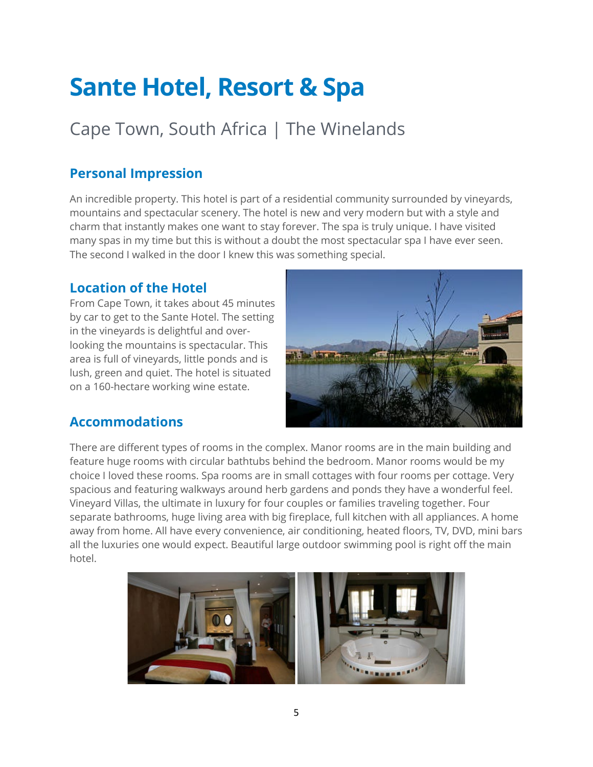# <span id="page-5-0"></span>**Sante Hotel, Resort & Spa**

# Cape Town, South Africa | The Winelands

# **Personal Impression**

An incredible property. This hotel is part of a residential community surrounded by vineyards, mountains and spectacular scenery. The hotel is new and very modern but with a style and charm that instantly makes one want to stay forever. The spa is truly unique. I have visited many spas in my time but this is without a doubt the most spectacular spa I have ever seen. The second I walked in the door I knew this was something special.

### **Location of the Hotel**

From Cape Town, it takes about 45 minutes by car to get to the Sante Hotel. The setting in the vineyards is delightful and overlooking the mountains is spectacular. This area is full of vineyards, little ponds and is lush, green and quiet. The hotel is situated on a 160-hectare working wine estate.



#### **Accommodations**

There are different types of rooms in the complex. Manor rooms are in the main building and feature huge rooms with circular bathtubs behind the bedroom. Manor rooms would be my choice I loved these rooms. Spa rooms are in small cottages with four rooms per cottage. Very spacious and featuring walkways around herb gardens and ponds they have a wonderful feel. Vineyard Villas, the ultimate in luxury for four couples or families traveling together. Four separate bathrooms, huge living area with big fireplace, full kitchen with all appliances. A home away from home. All have every convenience, air conditioning, heated floors, TV, DVD, mini bars all the luxuries one would expect. Beautiful large outdoor swimming pool is right off the main hotel.